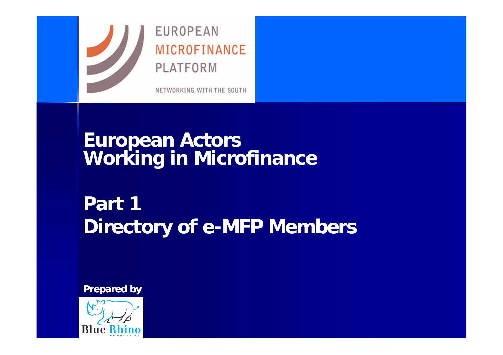

#### **EUROPEAN** MICROFINANCE PLATFORM

NETWORKING WITH THE SOUTH

# **European Actors Working in Microfinance**

# **Part 1 Directory of e-MFP Members**

**Prepared by**

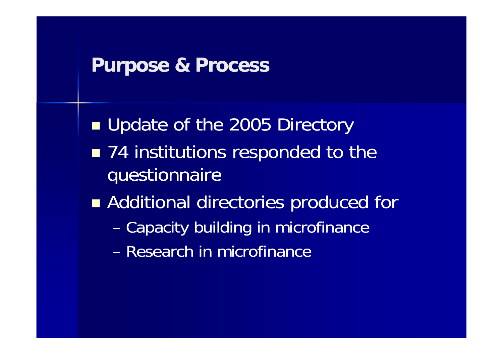## **Purpose & Process**

**Update of the 2005 Directory** T ■ 74 institutions responded to the questionnaire ■ Additional directories produced for –Capacity building in microfinance – Research in microfinance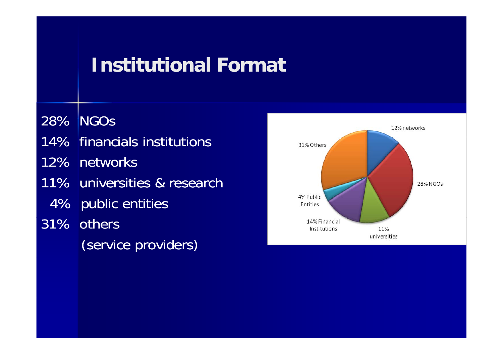# **Institutional Format**

28% NGOs 14% financials institutions 12% networks 11% universities & research 4% public entities 31% others (service providers)

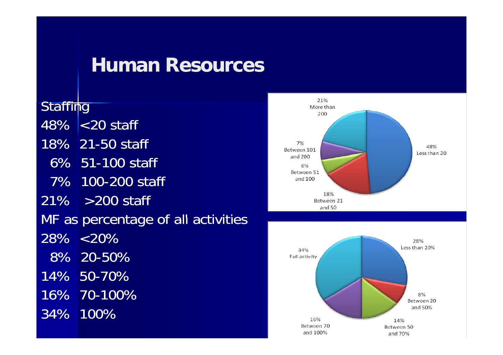#### **Human Resources**

**Staffing** 48% <20 staff18% 21-50 staff 6% 51-100 staff 7% 100-200 staff 21% >200 staff MF as percentage of all activities 28% <20%8% 20-50% 14% 50 50-70% 16% 70-100% 34% 100%

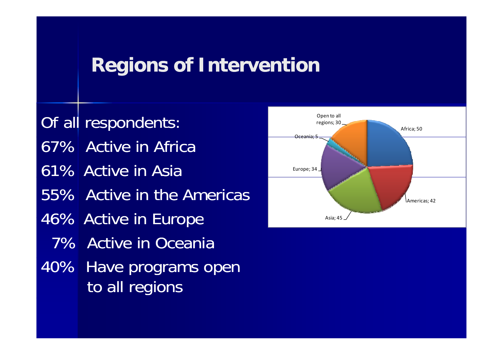#### **Regions of Intervention**

Of all respondents: 67% Active in Africa 61% Active in Asia **Europe;** 34 55% Active in the Americas46% Active in Europe and the contract of the Asia;45 7% Active in Oceania 40% Have programs open to all regions

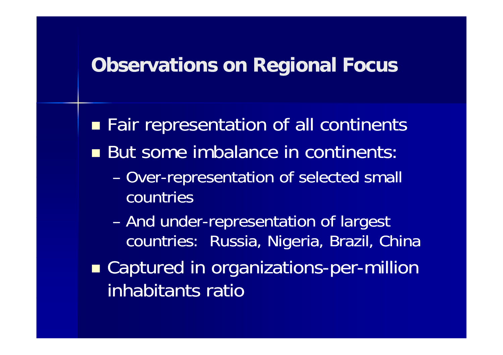## **Observations on Regional Focus**

**Fair representation of all continents** But some imbalance in continents: –- Over-representation of selected small countries–- And under-representation of largest countries: Russia, Nigeria, Brazil, China **Examptured in organizations-per-million** inhabitants ratio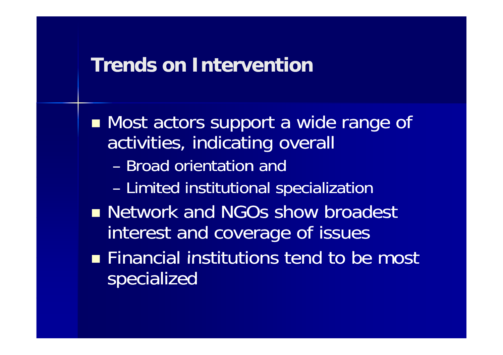## **Trends on Intervention**

■ Most actors support a wide range of activities, indicating overall – Broad orientation and – Limited institutional specialization **Network and NGOs show broadest** interest and coverage of issues  $\blacksquare$  Financial institutions tend to be most specialized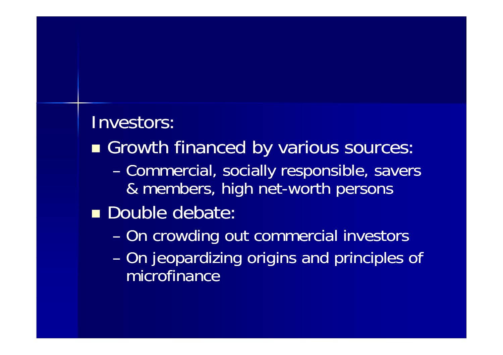# Investors:

- Growth financed by various sources:
	- –Commercial, socially responsible, savers & members, high net-worth persons
- Double debate:
	- –On crowding out commercial investors
	- –- On jeopardizing origins and principles of microfinance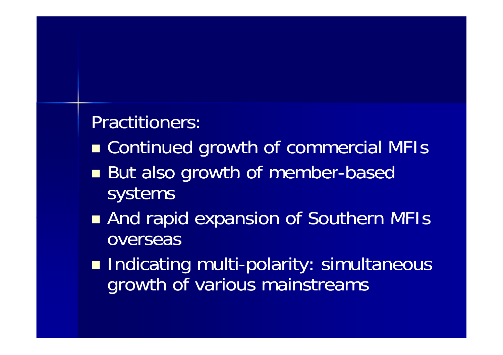Practitioners:

- Continued growth of commercial MFIs
- $\Box$ But also growth of member-based systems
- And rapid expansion of Southern MFIs overseas
- T **Indicating multi-polarity: simultaneous** growth of various mainstreams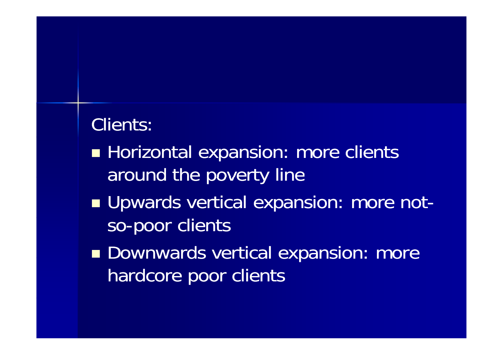# Clients:

- T **Horizontal expansion: more clients** around the poverty line
- **U** Upwards vertical expansion: more notso-poor clients
- **Downwards vertical expansion: more** hardcore poor clients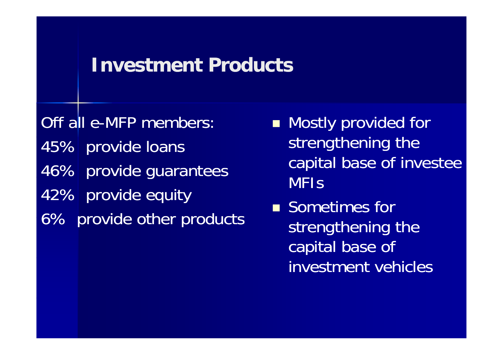## **Investment Products**

Off all e-MFP members: 45% provide loans 46% provide guarantees 42% provide equity 6% provide other products

- **Mostly provided for** strengthening the capital base of investee MFIs
- **Sometimes for**  strengthening the capital base of investment vehicles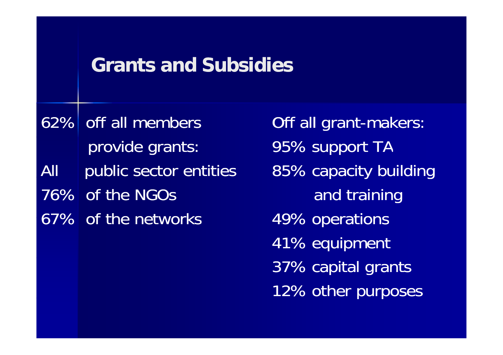## **Grants and Subsidies**

62% off all membersprovide grants: All public sector entities a 85% ca 76% of the NGOs 67% of the networks

Off all grant-makers: 95% support TA capacity building<br>and training 49% operations 41% equipment 37% capital grants 12% other purposes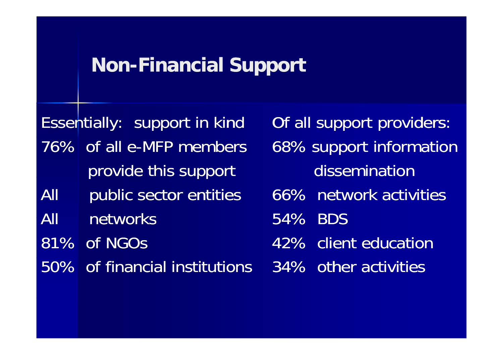## **Non-Financial Support**

Essentially: support in kind Of all support providers: 76% of all e-MFP members provide this support and dissemination All public sector entities All networks81% of NGOs 50% of financial institutions

68% support information 66% network activities 54% BDS42% client education 34% other activities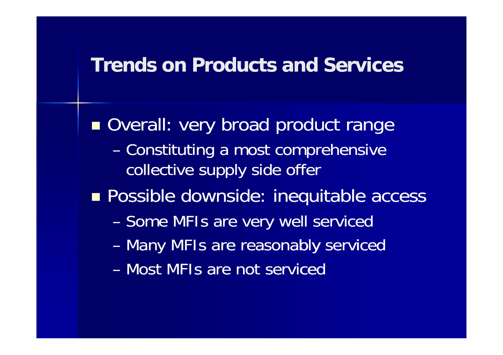#### **Trends on Products and Services**

**Overall: very broad product range** – Constituting a most comprehensive collective supply side offer **Possible downside: inequitable access** –- Some MFIs are very well serviced – Many MFIs are reasonably serviced – Most MFIs are not serviced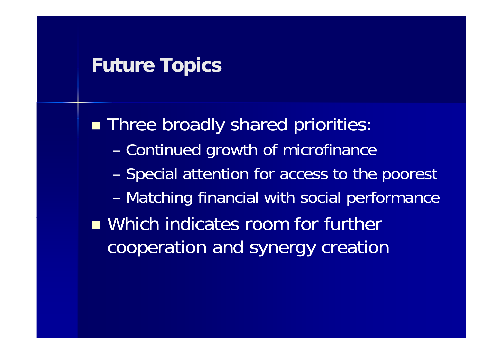#### **Future Topics**

**Three broadly shared priorities:** – Continued growth of microfinance –- Special attention for access to the poorest – Matching financial with social performance **N** Which indicates room for further cooperation and synergy creation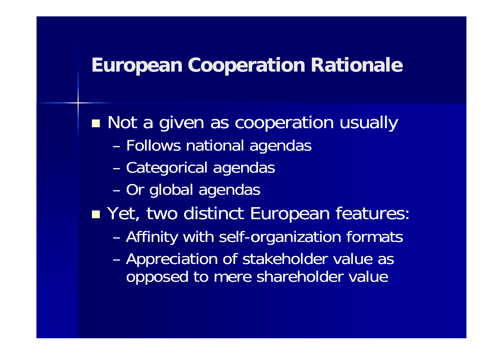## **European Cooperation Rationale**

**Not a given as cooperation usually** – Follows national agendas – Categorical agendas – Or global agendas ■ Yet, two distinct European features: –Affinity with self-organization formats – Appreciation of stakeholder value as opposed to mere shareholder value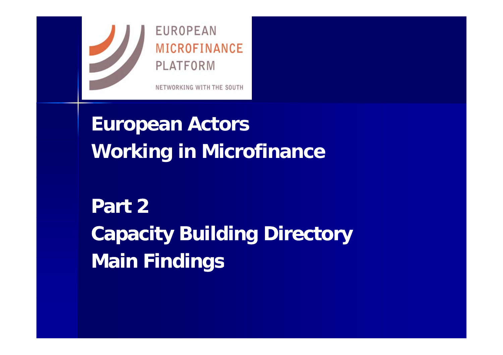

**European Actors Working in Microfinance**

**Part 2Capacity Building Directory Main Findings**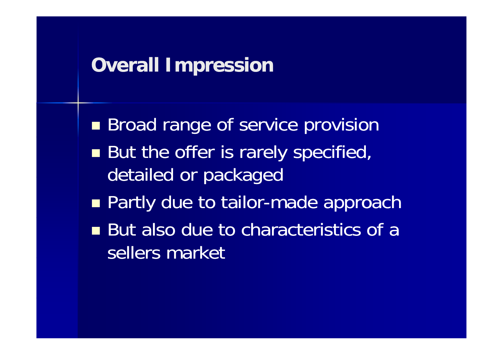# **Overall Impression**

**Broad range of service provision** T But the offer is rarely specified, detailed or packaged **Partly due to tailor-made approach** ■ But also due to characteristics of a sellers market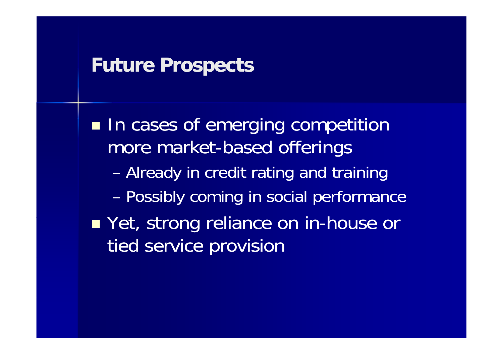## **Future Prospects**

**In cases of emerging competition** more market-based offerings – Already in credit rating and training – Possibly coming in social performance **Not, strong reliance on in-house or ance in** tied service provision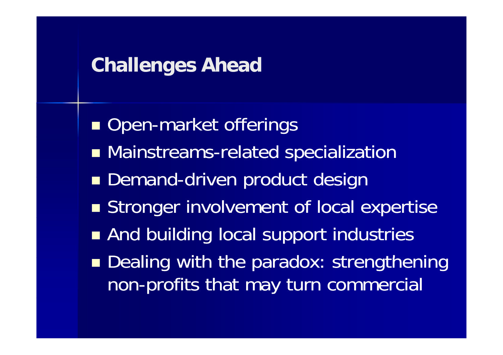## **Challenges Ahead**

**Open-market offerings** T **Mainstreams-related specialization Demand-driven product design Stronger involvement of local expertise And building local support industries Dealing with the paradox: strengthening** non-profits that may turn commercial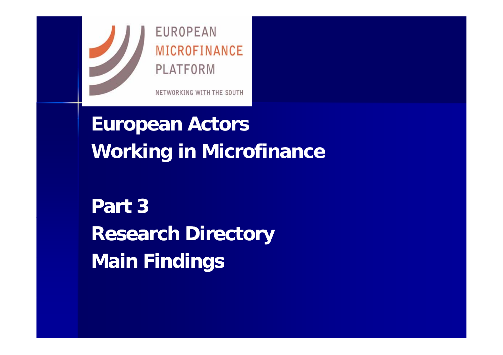

**European Actors Working in Microfinance**

**Part 3Research Directory Main Findings**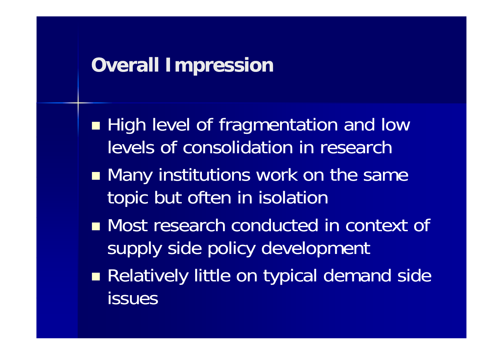# **Overall Impression**

**High level of fragmentation and low** levels of consolidation in research

- **Many institutions work on the same** topic but often in isolation
- $\blacksquare$  Most research conducted in context of supply side policy development
- Relatively little on typical demand side issues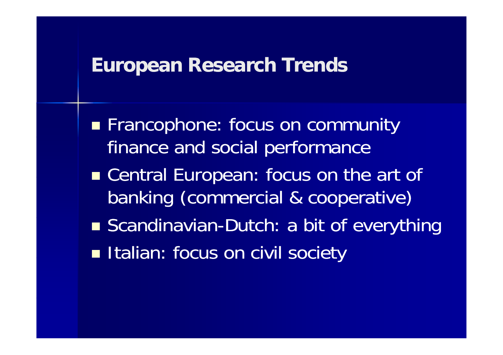## **European Research Trends**

**Francophone: focus on community** finance and social performance ■ Central European: focus on the art of banking (commercial & cooperative) ■ Scandinavian-Dutch: a bit of everything **Italian: focus on civil society**